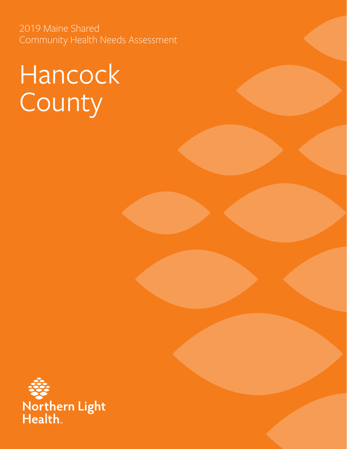2019 Maine Shared Community Health Needs Assessment

# Hancock County

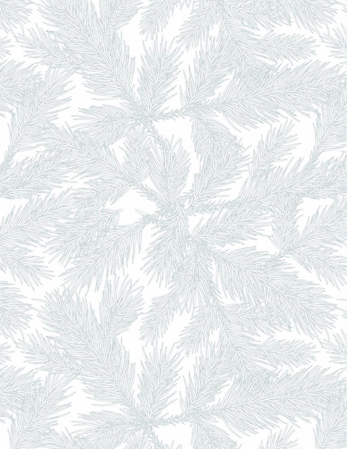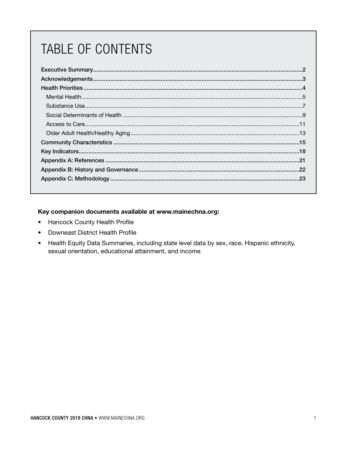# TABLE OF CONTENTS

### Key companion documents available at www.mainechna.org:

- Hancock County Health Profile
- Downeast District Health Profile  $\bullet$
- Health Equity Data Summaries, including state level data by sex, race, Hispanic ethnicity, sexual orientation, educational attainment, and income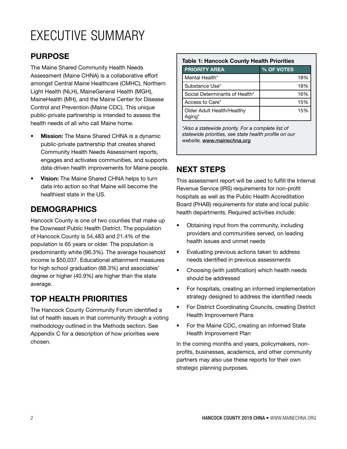# EXECUTIVE SUMMARY

### PURPOSE

The Maine Shared Community Health Needs Assessment (Maine CHNA) is a collaborative effort amongst Central Maine Healthcare (CMHC), Northern Light Health (NLH), MaineGeneral Health (MGH), MaineHealth (MH), and the Maine Center for Disease Control and Prevention (Maine CDC). This unique public-private partnership is intended to assess the health needs of all who call Maine home.

- **Mission:** The Maine Shared CHNA is a dynamic public-private partnership that creates shared Community Health Needs Assessment reports, engages and activates communities, and supports data-driven health improvements for Maine people.
- Vision: The Maine Shared CHNA helps to turn data into action so that Maine will become the healthiest state in the US.

# **DEMOGRAPHICS**

Hancock County is one of two counties that make up the Downeast Public Health District. The population of Hancock County is 54,483 and 21.4% of the population is 65 years or older. The population is predominantly white (96.3%). The average household income is \$50,037. Educational attainment measures for high school graduation (88.3%) and associates' degree or higher (40.9%) are higher than the state average.

# TOP HEALTH PRIORITIES

The Hancock County Community Forum identified a list of health issues in that community through a voting methodology outlined in the Methods section. See Appendix C for a description of how priorities were chosen.

#### Table 1: Hancock County Health Priorities

| <b>PRIORITY AREA</b>                 | % OF VOTES |
|--------------------------------------|------------|
| Mental Health*                       | 18%        |
| Substance Use*                       | 18%        |
| Social Determinants of Health*       | 16%        |
| Access to Care*                      | 15%        |
| Older Adult Health/Healthy<br>Aging* | 15%        |

*\*Also a statewide priority. For a complete list of statewide priorities, see state health profile on our website, www.mainechna.org*

# NEXT STEPS

This assessment report will be used to fulfill the Internal Revenue Service (IRS) requirements for non-profit hospitals as well as the Public Health Accreditation Board (PHAB) requirements for state and local public health departments. Required activities include:

- Obtaining input from the community, including providers and communities served, on leading health issues and unmet needs
- Evaluating previous actions taken to address needs identified in previous assessments
- Choosing (with justification) which health needs should be addressed
- For hospitals, creating an informed implementation strategy designed to address the identified needs
- For District Coordinating Councils, creating District Health Improvement Plans
- For the Maine CDC, creating an informed State Health Improvement Plan

In the coming months and years, policymakers, nonprofits, businesses, academics, and other community partners may also use these reports for their own strategic planning purposes.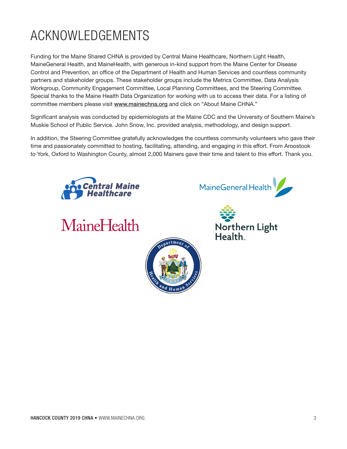# ACKNOWLEDGEMENTS

Funding for the Maine Shared CHNA is provided by Central Maine Healthcare, Northern Light Health, MaineGeneral Health, and MaineHealth, with generous in-kind support from the Maine Center for Disease Control and Prevention, an office of the Department of Health and Human Services and countless community partners and stakeholder groups. These stakeholder groups include the Metrics Committee, Data Analysis Workgroup, Community Engagement Committee, Local Planning Committees, and the Steering Committee. Special thanks to the Maine Health Data Organization for working with us to access their data. For a listing of committee members please visit www.mainechna.org and click on "About Maine CHNA."

Significant analysis was conducted by epidemiologists at the Maine CDC and the University of Southern Maine's Muskie School of Public Service. John Snow, Inc. provided analysis, methodology, and design support.

In addition, the Steering Committee gratefully acknowledges the countless community volunteers who gave their time and passionately committed to hosting, facilitating, attending, and engaging in this effort. From Aroostook to York, Oxford to Washington County, almost 2,000 Mainers gave their time and talent to this effort. Thank you.









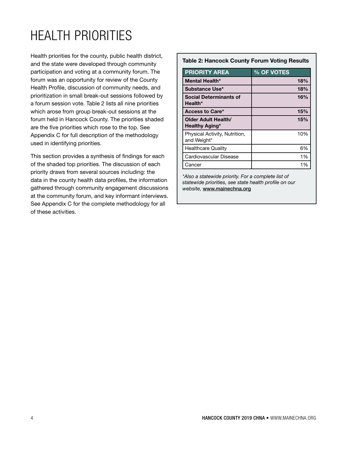# HEALTH PRIORITIES

Health priorities for the county, public health district, and the state were developed through community participation and voting at a community forum. The forum was an opportunity for review of the County Health Profile, discussion of community needs, and prioritization in small break-out sessions followed by a forum session vote. Table 2 lists all nine priorities which arose from group break-out sessions at the forum held in Hancock County. The priorities shaded are the five priorities which rose to the top. See Appendix C for full description of the methodology used in identifying priorities.

This section provides a synthesis of findings for each of the shaded top priorities. The discussion of each priority draws from several sources including: the data in the county health data profiles, the information gathered through community engagement discussions at the community forum, and key informant interviews. See Appendix C for the complete methodology for all of these activities.

#### Table 2: Hancock County Forum Voting Results

| <b>PRIORITY AREA</b>                                | % OF VOTES |
|-----------------------------------------------------|------------|
| <b>Mental Health*</b>                               | 18%        |
| Substance Use*                                      | 18%        |
| <b>Social Determinants of</b><br>Health*            | 16%        |
| <b>Access to Care*</b>                              | 15%        |
| <b>Older Adult Health/</b><br><b>Healthy Aging*</b> | 15%        |
| Physical Activity, Nutrition,<br>and Weight*        | 10%        |
| <b>Healthcare Quality</b>                           | 6%         |
| Cardiovascular Disease                              | 1%         |
| Cancer                                              | 1%         |

*\*Also a statewide priority. For a complete list of statewide priorities, see state health profile on our website,* www.mainechna.org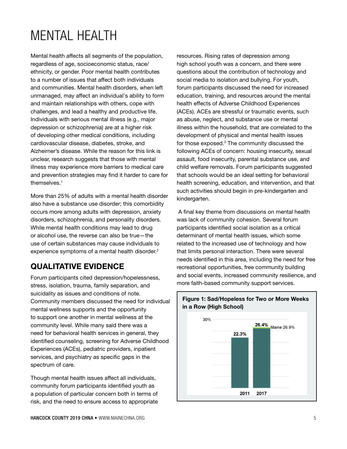# MENTAL HEALTH

Mental health affects all segments of the population, regardless of age, socioeconomic status, race/ ethnicity, or gender. Poor mental health contributes to a number of issues that affect both individuals and communities. Mental health disorders, when left unmanaged, may affect an individual's ability to form and maintain relationships with others, cope with challenges, and lead a healthy and productive life. Individuals with serious mental illness (e.g., major depression or schizophrenia) are at a higher risk of developing other medical conditions, including cardiovascular disease, diabetes, stroke, and Alzheimer's disease. While the reason for this link is unclear, research suggests that those with mental illness may experience more barriers to medical care and prevention strategies may find it harder to care for themselves. 1

More than 25% of adults with a mental health disorder also have a substance use disorder; this comorbidity occurs more among adults with depression, anxiety disorders, schizophrenia, and personality disorders. While mental health conditions may lead to drug or alcohol use, the reverse can also be true—the use of certain substances may cause individuals to experience symptoms of a mental health disorder.<sup>2</sup>

# QUALITATIVE EVIDENCE

Forum participants cited depression/hopelessness, stress, isolation, trauma, family separation, and suicidality as issues and conditions of note. Community members discussed the need for individual mental wellness supports and the opportunity to support one another in mental wellness at the community level. While many said there was a need for behavioral health services in general, they identified counseling, screening for Adverse Childhood Experiences (ACEs), pediatric providers, inpatient services, and psychiatry as specific gaps in the spectrum of care.

Though mental health issues affect all individuals, community forum participants identified youth as a population of particular concern both in terms of risk, and the need to ensure access to appropriate

resources. Rising rates of depression among high school youth was a concern, and there were questions about the contribution of technology and social media to isolation and bullying. For youth, forum participants discussed the need for increased education, training, and resources around the mental health effects of Adverse Childhood Experiences (ACEs). ACEs are stressful or traumatic events, such as abuse, neglect, and substance use or mental illness within the household, that are correlated to the development of physical and mental health issues for those exposed.<sup>3</sup> The community discussed the following ACEs of concern: housing insecurity, sexual assault, food insecurity, parental substance use, and child welfare removals. Forum participants suggested that schools would be an ideal setting for behavioral health screening, education, and intervention, and that such activities should begin in pre-kindergarten and kindergarten.

 A final key theme from discussions on mental health was lack of community cohesion. Several forum participants identified social isolation as a critical determinant of mental health issues, which some related to the increased use of technology and how that limits personal interaction. There were several needs identified in this area, including the need for free recreational opportunities, free community building and social events, increased community resilience, and more faith-based community support services.



# Figure 1: Sad/Hopeless for Two or More Weeks in a Row (High School)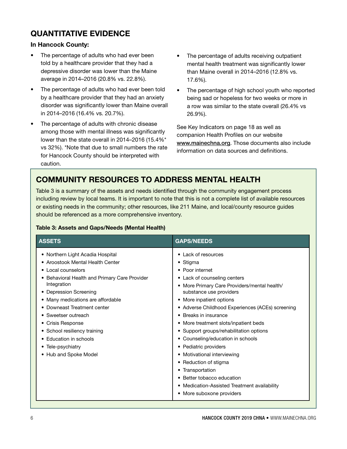# QUANTITATIVE EVIDENCE

#### In Hancock County:

- The percentage of adults who had ever been told by a healthcare provider that they had a depressive disorder was lower than the Maine average in 2014–2016 (20.8% vs. 22.8%).
- The percentage of adults who had ever been told by a healthcare provider that they had an anxiety disorder was significantly lower than Maine overall in 2014–2016 (16.4% vs. 20.7%).
- The percentage of adults with chronic disease among those with mental illness was significantly lower than the state overall in 2014–2016 (15.4%\* vs 32%). \*Note that due to small numbers the rate for Hancock County should be interpreted with caution.
- The percentage of adults receiving outpatient mental health treatment was significantly lower than Maine overall in 2014–2016 (12.8% vs. 17.6%).
- The percentage of high school youth who reported being sad or hopeless for two weeks or more in a row was similar to the state overall (26.4% vs 26.9%).

See Key Indicators on page 18 as well as companion Health Profiles on our website www.mainechna.org. Those documents also include information on data sources and definitions.

# COMMUNITY RESOURCES TO ADDRESS MENTAL HEALTH

Table 3 is a summary of the assets and needs identified through the community engagement process including review by local teams. It is important to note that this is not a complete list of available resources or existing needs in the community; other resources, like 211 Maine, and local/county resource guides should be referenced as a more comprehensive inventory.

#### Table 3: Assets and Gaps/Needs (Mental Health)

| <b>ASSETS</b>                                          | <b>GAPS/NEEDS</b>                                                       |
|--------------------------------------------------------|-------------------------------------------------------------------------|
| • Northern Light Acadia Hospital                       | • Lack of resources                                                     |
| • Aroostook Mental Health Center<br>• Local counselors | $\bullet$ Stigma<br>• Poor internet                                     |
| Behavioral Health and Primary Care Provider            | • Lack of counseling centers                                            |
| Integration<br><b>Depression Screening</b>             | • More Primary Care Providers/mental health/<br>substance use providers |
| • Many medications are affordable                      | • More inpatient options                                                |
| • Downeast Treatment center                            | • Adverse Childhood Experiences (ACEs) screening                        |
| • Sweetser outreach                                    | • Breaks in insurance                                                   |
| <b>Crisis Response</b>                                 | • More treatment slots/inpatient beds                                   |
| School resiliency training                             | • Support groups/rehabilitation options                                 |
| • Education in schools                                 | • Counseling/education in schools                                       |
| • Tele-psychiatry                                      | • Pediatric providers                                                   |
| • Hub and Spoke Model                                  | • Motivational interviewing                                             |
|                                                        | • Reduction of stigma                                                   |
|                                                        | • Transportation                                                        |
|                                                        | • Better tobacco education                                              |
|                                                        | • Medication-Assisted Treatment availability                            |
|                                                        | • More suboxone providers                                               |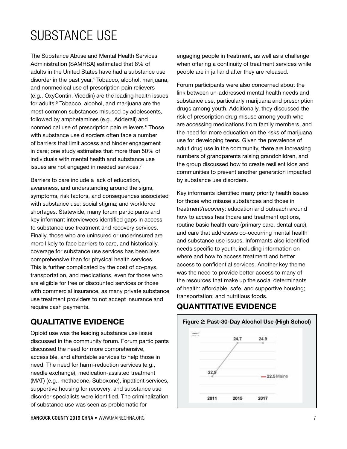# SUBSTANCE USE

The Substance Abuse and Mental Health Services Administration (SAMHSA) estimated that 8% of adults in the United States have had a substance use disorder in the past year. 4 Tobacco, alcohol, marijuana, and nonmedical use of prescription pain relievers (e.g., OxyContin, Vicodin) are the leading health issues for adults. 5 Tobacco, alcohol, and marijuana are the most common substances misused by adolescents, followed by amphetamines (e.g., Adderall) and nonmedical use of prescription pain relievers. 6 Those with substance use disorders often face a number of barriers that limit access and hinder engagement in care; one study estimates that more than 50% of individuals with mental health and substance use issues are not engaged in needed services.<sup>7</sup>

Barriers to care include a lack of education, awareness, and understanding around the signs, symptoms, risk factors, and consequences associated with substance use; social stigma; and workforce shortages. Statewide, many forum participants and key informant interviewees identified gaps in access to substance use treatment and recovery services. Finally, those who are uninsured or underinsured are more likely to face barriers to care, and historically, coverage for substance use services has been less comprehensive than for physical health services. This is further complicated by the cost of co-pays, transportation, and medications, even for those who are eligible for free or discounted services or those with commercial insurance, as many private substance use treatment providers to not accept insurance and require cash payments.

### QUALITATIVE EVIDENCE

Opioid use was the leading substance use issue discussed in the community forum. Forum participants discussed the need for more comprehensive, accessible, and affordable services to help those in need. The need for harm-reduction services (e.g., needle exchange), medication-assisted treatment (MAT) (e.g., methadone, Suboxone), inpatient services, supportive housing for recovery, and substance use disorder specialists were identified. The criminalization of substance use was seen as problematic for

Forum participants were also concerned about the link between un-addressed mental health needs and substance use, particularly marijuana and prescription drugs among youth. Additionally, they discussed the risk of prescription drug misuse among youth who are accessing medications from family members, and the need for more education on the risks of marijuana use for developing teens. Given the prevalence of adult drug use in the community, there are increasing numbers of grandparents raising grandchildren, and the group discussed how to create resilient kids and communities to prevent another generation impacted by substance use disorders.

Key informants identified many priority health issues for those who misuse substances and those in treatment/recovery: education and outreach around how to access healthcare and treatment options, routine basic health care (primary care, dental care), and care that addresses co-occurring mental health and substance use issues. Informants also identified needs specific to youth, including information on where and how to access treatment and better access to confidential services. Another key theme was the need to provide better access to many of the resources that make up the social determinants of health: affordable, safe, and supportive housing; transportation; and nutritious foods.

# QUANTITATIVE EVIDENCE

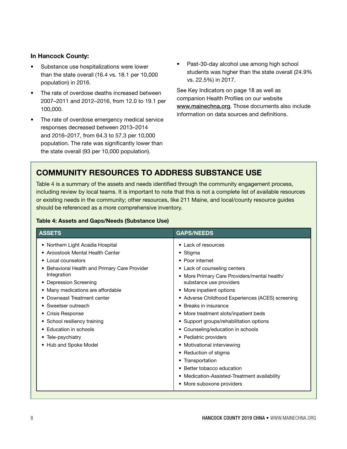#### In Hancock County:

- Substance use hospitalizations were lower than the state overall (16.4 vs. 18.1 per 10,000 population) in 2016.
- The rate of overdose deaths increased between 2007–2011 and 2012–2016, from 12.0 to 19.1 per 100,000.
- The rate of overdose emergency medical service responses decreased between 2013–2014 and 2016–2017, from 64.3 to 57.3 per 10,000 population. The rate was significantly lower than the state overall (93 per 10,000 population).
- Past-30-day alcohol use among high school students was higher than the state overall (24.9% vs. 22.5%) in 2017.

See Key Indicators on page 18 as well as companion Health Profiles on our website www.mainechna.org. Those documents also include information on data sources and definitions.

# COMMUNITY RESOURCES TO ADDRESS SUBSTANCE USE

Table 4 is a summary of the assets and needs identified through the community engagement process, including review by local teams. It is important to note that this is not a complete list of available resources or existing needs in the community; other resources, like 211 Maine, and local/county resource guides should be referenced as a more comprehensive inventory.

#### Table 4: Assets and Gaps/Needs (Substance Use)

| <b>ASSETS</b>                               | <b>GAPS/NEEDS</b>                                |
|---------------------------------------------|--------------------------------------------------|
| • Northern Light Acadia Hospital            | • Lack of resources                              |
| Aroostook Mental Health Center              | $\bullet$ Stigma                                 |
| Local counselors                            | • Poor internet                                  |
| Behavioral Health and Primary Care Provider | • Lack of counseling centers                     |
| Integration                                 | • More Primary Care Providers/mental health/     |
| <b>Depression Screening</b>                 | substance use providers                          |
| • Many medications are affordable           | • More inpatient options                         |
| Downeast Treatment center                   | • Adverse Childhood Experiences (ACES) screening |
| Sweetser outreach                           | • Breaks in insurance                            |
| Crisis Response                             | • More treatment slots/inpatient beds            |
| • School resiliency training                | • Support groups/rehabilitation options          |
| • Education in schools                      | • Counseling/education in schools                |
| • Tele-psychiatry                           | • Pediatric providers                            |
| • Hub and Spoke Model                       | • Motivational interviewing                      |
|                                             | • Reduction of stigma                            |
|                                             | • Transportation                                 |
|                                             | • Better tobacco education                       |
|                                             | • Medication-Assisted-Treatment availability     |
|                                             | • More suboxone providers                        |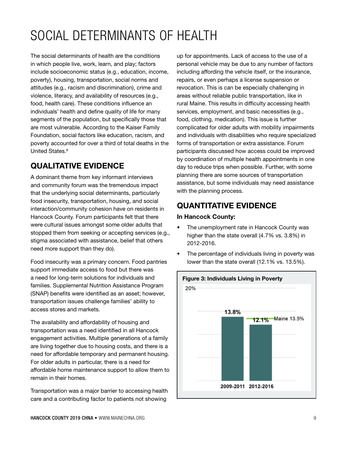# SOCIAL DETERMINANTS OF HEALTH

The social determinants of health are the conditions in which people live, work, learn, and play; factors include socioeconomic status (e.g., education, income, poverty), housing, transportation, social norms and attitudes (e.g., racism and discrimination), crime and violence, literacy, and availability of resources (e.g., food, health care). These conditions influence an individuals' health and define quality of life for many segments of the population, but specifically those that are most vulnerable. According to the Kaiser Family Foundation, social factors like education, racism, and poverty accounted for over a third of total deaths in the United States. 8

# QUALITATIVE EVIDENCE

A dominant theme from key informant interviews and community forum was the tremendous impact that the underlying social determinants, particularly food insecurity, transportation, housing, and social interaction/community cohesion have on residents in Hancock County. Forum participants felt that there were cultural issues amongst some older adults that stopped them from seeking or accepting services (e.g., stigma associated with assistance, belief that others need more support than they do).

Food insecurity was a primary concern. Food pantries support immediate access to food but there was a need for long-term solutions for individuals and families. Supplemental Nutrition Assistance Program (SNAP) benefits were identified as an asset; however, transportation issues challenge families' ability to access stores and markets.

The availability and affordability of housing and transportation was a need identified in all Hancock engagement activities. Multiple generations of a family are living together due to housing costs, and there is a need for affordable temporary and permanent housing. For older adults in particular, there is a need for affordable home maintenance support to allow them to remain in their homes.

Transportation was a major barrier to accessing health care and a contributing factor to patients not showing

up for appointments. Lack of access to the use of a personal vehicle may be due to any number of factors including affording the vehicle itself, or the insurance, repairs, or even perhaps a license suspension or revocation. This is can be especially challenging in areas without reliable public transportation, like in rural Maine. This results in difficulty accessing health services, employment, and basic necessities (e.g., food, clothing, medication). This issue is further complicated for older adults with mobility impairments and individuals with disabilities who require specialized forms of transportation or extra assistance. Forum participants discussed how access could be improved by coordination of multiple health appointments in one day to reduce trips when possible. Further, with some planning there are some sources of transportation assistance, but some individuals may need assistance with the planning process.

# QUANTITATIVE EVIDENCE

### In Hancock County:

- The unemployment rate in Hancock County was higher than the state overall (4.7% vs. 3.8%) in 2012-2016.
- The percentage of individuals living in poverty was lower than the state overall (12.1% vs. 13.5%).

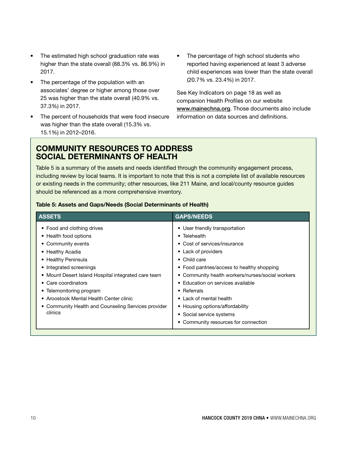- The estimated high school graduation rate was higher than the state overall (88.3% vs. 86.9%) in 2017.
- The percentage of the population with an associates' degree or higher among those over 25 was higher than the state overall (40.9% vs. 37.3%) in 2017.
- The percent of households that were food insecure was higher than the state overall (15.3% vs. 15.1%) in 2012–2016.
- The percentage of high school students who reported having experienced at least 3 adverse child experiences was lower than the state overall (20.7% vs. 23.4%) in 2017.

See Key Indicators on page 18 as well as companion Health Profiles on our website www.mainechna.org. Those documents also include information on data sources and definitions.

### COMMUNITY RESOURCES TO ADDRESS SOCIAL DETERMINANTS OF HEALTH

Table 5 is a summary of the assets and needs identified through the community engagement process, including review by local teams. It is important to note that this is not a complete list of available resources or existing needs in the community; other resources, like 211 Maine, and local/county resource guides should be referenced as a more comprehensive inventory.

#### ASSETS GAPS/NEEDS • Food and clothing drives • Health food options • Community events • Healthy Acadia • Healthy Peninsula • Integrated screenings • Mount Desert Island Hospital integrated care team • Care coordinators • Telemonitoring program • Aroostook Mental Health Center clinic • Community Health and Counseling Services provider clinics • User friendly transportation • Telehealth • Cost of services/insurance • Lack of providers • Child care • Food pantries/access to healthy shopping • Community health workers/nurses/social workers • Education on services available • Referrals • Lack of mental health • Housing options/affordability • Social service systems • Community resources for connection

#### Table 5: Assets and Gaps/Needs (Social Determinants of Health)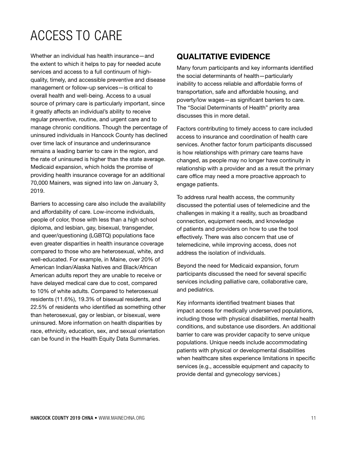# ACCESS TO CARE

Whether an individual has health insurance—and the extent to which it helps to pay for needed acute services and access to a full continuum of highquality, timely, and accessible preventive and disease management or follow-up services—is critical to overall health and well-being. Access to a usual source of primary care is particularly important, since it greatly affects an individual's ability to receive regular preventive, routine, and urgent care and to manage chronic conditions. Though the percentage of uninsured individuals in Hancock County has declined over time lack of insurance and underinsurance remains a leading barrier to care in the region, and the rate of uninsured is higher than the state average. Medicaid expansion, which holds the promise of providing health insurance coverage for an additional 70,000 Mainers, was signed into law on January 3, 2019.

Barriers to accessing care also include the availability and affordability of care. Low-income individuals, people of color, those with less than a high school diploma, and lesbian, gay, bisexual, transgender, and queer/questioning (LGBTQ) populations face even greater disparities in health insurance coverage compared to those who are heterosexual, white, and well-educated. For example, in Maine, over 20% of American Indian/Alaska Natives and Black/African American adults report they are unable to receive or have delayed medical care due to cost, compared to 10% of white adults. Compared to heterosexual residents (11.6%), 19.3% of bisexual residents, and 22.5% of residents who identified as something other than heterosexual, gay or lesbian, or bisexual, were uninsured. More information on health disparities by race, ethnicity, education, sex, and sexual orientation can be found in the Health Equity Data Summaries.

### QUALITATIVE EVIDENCE

Many forum participants and key informants identified the social determinants of health—particularly inability to access reliable and affordable forms of transportation, safe and affordable housing, and poverty/low wages—as significant barriers to care. The "Social Determinants of Health" priority area discusses this in more detail.

Factors contributing to timely access to care included access to insurance and coordination of health care services. Another factor forum participants discussed is how relationships with primary care teams have changed, as people may no longer have continuity in relationship with a provider and as a result the primary care office may need a more proactive approach to engage patients.

To address rural health access, the community discussed the potential uses of telemedicine and the challenges in making it a reality, such as broadband connection, equipment needs, and knowledge of patients and providers on how to use the tool effectively. There was also concern that use of telemedicine, while improving access, does not address the isolation of individuals.

Beyond the need for Medicaid expansion, forum participants discussed the need for several specific services including palliative care, collaborative care, and pediatrics.

Key informants identified treatment biases that impact access for medically underserved populations, including those with physical disabilities, mental health conditions, and substance use disorders. An additional barrier to care was provider capacity to serve unique populations. Unique needs include accommodating patients with physical or developmental disabilities when healthcare sites experience limitations in specific services (e.g., accessible equipment and capacity to provide dental and gynecology services.)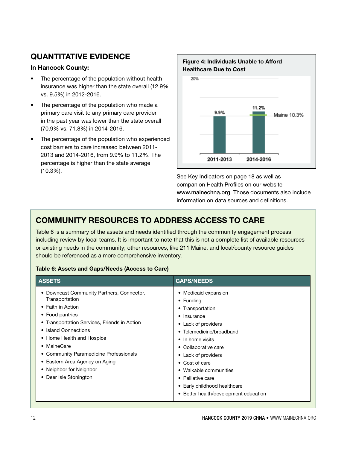### QUANTITATIVE EVIDENCE

### In Hancock County:

- The percentage of the population without health insurance was higher than the state overall (12.9% vs. 9.5%) in 2012-2016.
- The percentage of the population who made a primary care visit to any primary care provider in the past year was lower than the state overall (70.9% vs. 71.8%) in 2014-2016.
- The percentage of the population who experienced cost barriers to care increased between 2011- 2013 and 2014-2016, from 9.9% to 11.2%. The percentage is higher than the state average (10.3%).



See Key Indicators on page 18 as well as companion Health Profiles on our website www.mainechna.org. Those documents also include information on data sources and definitions.

# COMMUNITY RESOURCES TO ADDRESS ACCESS TO CARE

Table 6 is a summary of the assets and needs identified through the community engagement process including review by local teams. It is important to note that this is not a complete list of available resources or existing needs in the community; other resources, like 211 Maine, and local/county resource guides should be referenced as a more comprehensive inventory.

#### Table 6: Assets and Gaps/Needs (Access to Care)

| <b>ASSETS</b>                                                                                                                                                                                                                                                                                                                                      | <b>GAPS/NEEDS</b>                                                                                                                                                                                                                                                                                                                          |
|----------------------------------------------------------------------------------------------------------------------------------------------------------------------------------------------------------------------------------------------------------------------------------------------------------------------------------------------------|--------------------------------------------------------------------------------------------------------------------------------------------------------------------------------------------------------------------------------------------------------------------------------------------------------------------------------------------|
| Downeast Community Partners, Connector,<br>Transportation<br>• Faith in Action<br>• Food pantries<br>Transportation Services, Friends in Action<br>• Island Connections<br>• Home Health and Hospice<br>MaineCare<br>• Community Paramedicine Professionals<br>• Eastern Area Agency on Aging<br>• Neighbor for Neighbor<br>• Deer Isle Stonington | • Medicaid expansion<br>$\bullet$ Funding<br>• Transportation<br>• Insurance<br>• Lack of providers<br>• Telemedicine/broadband<br>• In home visits<br>• Collaborative care<br>• Lack of providers<br>• Cost of care<br>• Walkable communities<br>• Palliative care<br>• Early childhood healthcare<br>Better health/development education |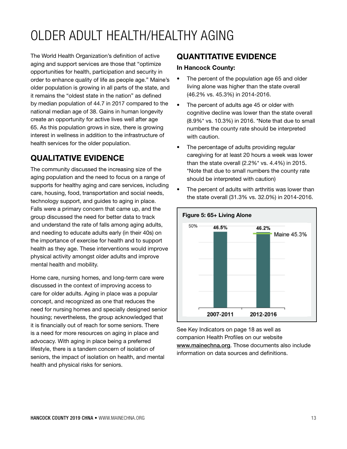# OLDER ADULT HEALTH/HEALTHY AGING

The World Health Organization's definition of active aging and support services are those that "optimize opportunities for health, participation and security in order to enhance quality of life as people age." Maine's older population is growing in all parts of the state, and it remains the "oldest state in the nation" as defined by median population of 44.7 in 2017 compared to the national median age of 38. Gains in human longevity create an opportunity for active lives well after age 65. As this population grows in size, there is growing interest in wellness in addition to the infrastructure of health services for the older population.

# QUALITATIVE EVIDENCE

The community discussed the increasing size of the aging population and the need to focus on a range of supports for healthy aging and care services, including care, housing, food, transportation and social needs, technology support, and guides to aging in place. Falls were a primary concern that came up, and the group discussed the need for better data to track and understand the rate of falls among aging adults, and needing to educate adults early (in their 40s) on the importance of exercise for health and to support health as they age. These interventions would improve physical activity amongst older adults and improve mental health and mobility.

Home care, nursing homes, and long-term care were discussed in the context of improving access to care for older adults. Aging in place was a popular concept, and recognized as one that reduces the need for nursing homes and specially designed senior housing; nevertheless, the group acknowledged that it is financially out of reach for some seniors. There is a need for more resources on aging in place and advocacy. With aging in place being a preferred lifestyle, there is a tandem concern of isolation of seniors, the impact of isolation on health, and mental health and physical risks for seniors.

### QUANTITATIVE EVIDENCE

### In Hancock County:

- The percent of the population age 65 and older living alone was higher than the state overall (46.2% vs. 45.3%) in 2014-2016.
- The percent of adults age 45 or older with cognitive decline was lower than the state overall (8.9%\* vs. 10.3%) in 2016. \*Note that due to small numbers the county rate should be interpreted with caution.
- The percentage of adults providing regular caregiving for at least 20 hours a week was lower than the state overall (2.2%\* vs. 4.4%) in 2015. \*Note that due to small numbers the county rate should be interpreted with caution)
- The percent of adults with arthritis was lower than the state overall (31.3% vs. 32.0%) in 2014-2016.



See Key Indicators on page 18 as well as companion Health Profiles on our website www.mainechna.org. Those documents also include information on data sources and definitions.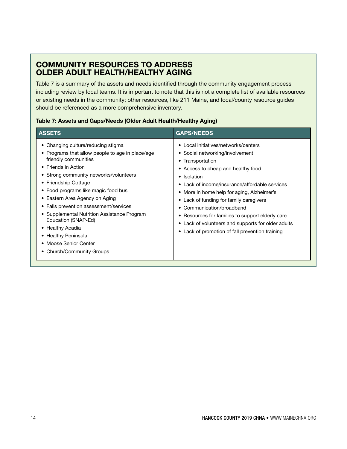### COMMUNITY RESOURCES TO ADDRESS OLDER ADULT HEALTH/HEALTHY AGING

Table 7 is a summary of the assets and needs identified through the community engagement process including review by local teams. It is important to note that this is not a complete list of available resources or existing needs in the community; other resources, like 211 Maine, and local/county resource guides should be referenced as a more comprehensive inventory.

#### Table 7: Assets and Gaps/Needs (Older Adult Health/Healthy Aging)

| <b>ASSETS</b>                                                                                                                                                                                                                                                                                                                                                                                                                                                                                     | <b>GAPS/NEEDS</b>                                                                                                                                                                                                                                                                                                                                                                                                                                                                   |
|---------------------------------------------------------------------------------------------------------------------------------------------------------------------------------------------------------------------------------------------------------------------------------------------------------------------------------------------------------------------------------------------------------------------------------------------------------------------------------------------------|-------------------------------------------------------------------------------------------------------------------------------------------------------------------------------------------------------------------------------------------------------------------------------------------------------------------------------------------------------------------------------------------------------------------------------------------------------------------------------------|
| • Changing culture/reducing stigma<br>• Programs that allow people to age in place/age<br>friendly communities<br>• Friends in Action<br>• Strong community networks/volunteers<br>• Friendship Cottage<br>• Food programs like magic food bus<br>• Eastern Area Agency on Aging<br>• Falls prevention assessment/services<br>• Supplemental Nutrition Assistance Program<br>Education (SNAP-Ed)<br>• Healthy Acadia<br>• Healthy Peninsula<br>• Moose Senior Center<br>• Church/Community Groups | • Local initiatives/networks/centers<br>• Social networking/involvement<br>• Transportation<br>• Access to cheap and healthy food<br>• Isolation<br>• Lack of income/insurance/affordable services<br>• More in home help for aging, Alzheimer's<br>• Lack of funding for family caregivers<br>Communication/broadband<br>• Resources for families to support elderly care<br>• Lack of volunteers and supports for older adults<br>• Lack of promotion of fall prevention training |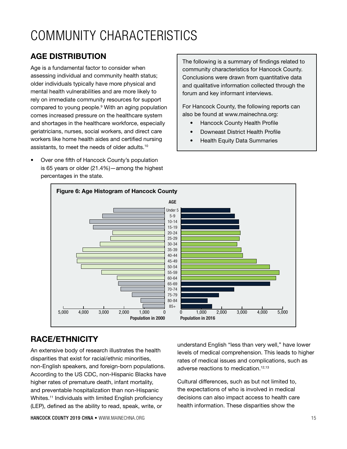# COMMUNITY CHARACTERISTICS

# AGE DISTRIBUTION

Age is a fundamental factor to consider when assessing individual and community health status; older individuals typically have more physical and mental health vulnerabilities and are more likely to rely on immediate community resources for support compared to young people. 9 With an aging population comes increased pressure on the healthcare system and shortages in the healthcare workforce, especially geriatricians, nurses, social workers, and direct care workers like home health aides and certified nursing assistants, to meet the needs of older adults. 10

• Over one fifth of Hancock County's population is 65 years or older (21.4%)—among the highest percentages in the state.

The following is a summary of findings related to community characteristics for Hancock County. Conclusions were drawn from quantitative data and qualitative information collected through the forum and key informant interviews.

For Hancock County, the following reports can also be found at www.mainechna.org:

- Hancock County Health Profile
- Downeast District Health Profile
- Health Equity Data Summaries



### RACE/ETHNICITY

An extensive body of research illustrates the health disparities that exist for racial/ethnic minorities, non-English speakers, and foreign-born populations. According to the US CDC, non-Hispanic Blacks have higher rates of premature death, infant mortality, and preventable hospitalization than non-Hispanic Whites. 11 Individuals with limited English proficiency (LEP), defined as the ability to read, speak, write, or

understand English "less than very well," have lower levels of medical comprehension. This leads to higher rates of medical issues and complications, such as adverse reactions to medication. 12,13

Cultural differences, such as but not limited to, the expectations of who is involved in medical decisions can also impact access to health care health information. These disparities show the

HANCOCK COUNTY 2019 CHNA • WWW.MAINECHNA.ORG 15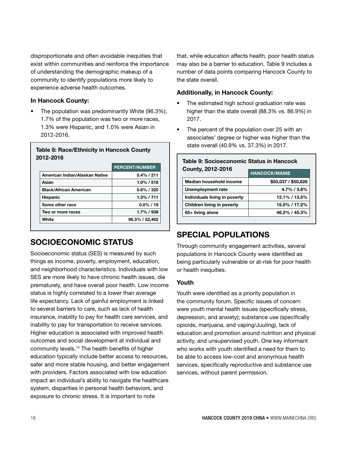disproportionate and often avoidable inequities that exist within communities and reinforce the importance of understanding the demographic makeup of a community to identify populations more likely to experience adverse health outcomes.

#### In Hancock County:

• The population was predominantly White (96.3%); 1.7% of the population was two or more races, 1.3% were Hispanic, and 1.0% were Asian in 2012-2016.

#### Table 8: Race/Ethnicity in Hancock County 2012-2016

| <b>PERCENT/NUMBER</b> |
|-----------------------|
| $0.4\%$ / 211         |
| $1.0\%$ / 518         |
| $0.6\%$ / 320         |
| $1.3\%$ / 711         |
| $0.0\%$ / 19          |
| $1.7\%$ / 938         |
| 96.3% / 52,462        |
|                       |

# SOCIOECONOMIC STATUS

Socioeconomic status (SES) is measured by such things as income, poverty, employment, education, and neighborhood characteristics. Individuals with low SES are more likely to have chronic health issues, die prematurely, and have overall poor health. Low income status is highly correlated to a lower than average life expectancy. Lack of gainful employment is linked to several barriers to care, such as lack of health insurance, inability to pay for health care services, and inability to pay for transportation to receive services. Higher education is associated with improved health outcomes and social development at individual and community levels. 14 The health benefits of higher education typically include better access to resources, safer and more stable housing, and better engagement with providers. Factors associated with low education impact an individual's ability to navigate the healthcare system, disparities in personal health behaviors, and exposure to chronic stress. It is important to note

that, while education affects health, poor health status may also be a barrier to education. Table 9 includes a number of data points comparing Hancock County to the state overall.

#### Additionally, in Hancock County:

- The estimated high school graduation rate was higher than the state overall (88.3% vs. 86.9%) in 2017.
- The percent of the population over 25 with an associates' degree or higher was higher than the state overall (40.9% vs. 37.3%) in 2017.

| <b>HANCOCK/MAINE</b> |  |  |
|----------------------|--|--|
| \$50,037 / \$50,826  |  |  |
| 4.7% / 3.8%          |  |  |
| 12.1% / 13.5%        |  |  |
| 15.5% / 17.2%        |  |  |
| 46.2% / 45.3%        |  |  |
|                      |  |  |

# Table 9: Socioeconomic Status in Hancock

# SPECIAL POPULATIONS

Through community engagement activities, several populations in Hancock County were identified as being particularly vulnerable or at-risk for poor health or health inequities.

#### Youth

Youth were identified as a priority population in the community forum. Specific issues of concern were youth mental health issues (specifically stress, depression, and anxiety); substance use (specifically opioids, marijuana, and vaping/Juuling), lack of education and promotion around nutrition and physical activity, and unsupervised youth. One key informant who works with youth identified a need for them to be able to access low-cost and anonymous health services, specifically reproductive and substance use services, without parent permission.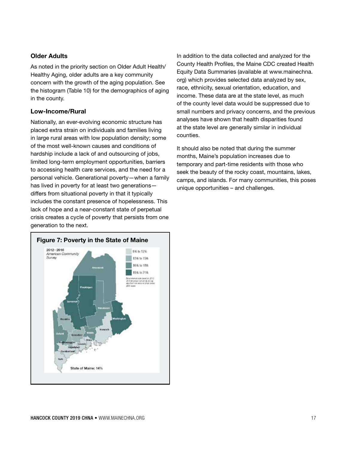#### Older Adults

As noted in the priority section on Older Adult Health/ Healthy Aging, older adults are a key community concern with the growth of the aging population. See the histogram (Table 10) for the demographics of aging in the county.

#### Low-Income/Rural

Nationally, an ever-evolving economic structure has placed extra strain on individuals and families living in large rural areas with low population density; some of the most well-known causes and conditions of hardship include a lack of and outsourcing of jobs, limited long-term employment opportunities, barriers to accessing health care services, and the need for a personal vehicle. Generational poverty—when a family has lived in poverty for at least two generations differs from situational poverty in that it typically includes the constant presence of hopelessness. This lack of hope and a near-constant state of perpetual crisis creates a cycle of poverty that persists from one generation to the next.

In addition to the data collected and analyzed for the County Health Profiles, the Maine CDC created Health Equity Data Summaries (available at www.mainechna. org) which provides selected data analyzed by sex, race, ethnicity, sexual orientation, education, and income. These data are at the state level, as much of the county level data would be suppressed due to small numbers and privacy concerns, and the previous analyses have shown that health disparities found at the state level are generally similar in individual counties.

It should also be noted that during the summer months, Maine's population increases due to temporary and part-time residents with those who seek the beauty of the rocky coast, mountains, lakes, camps, and islands. For many communities, this poses unique opportunities – and challenges.

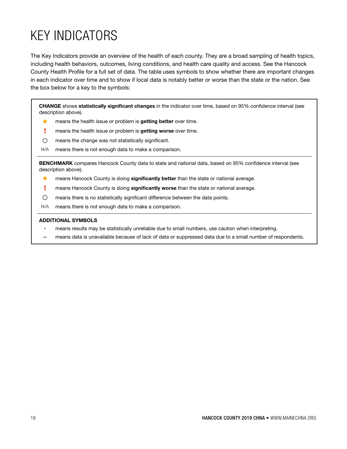# KEY INDICATORS

The Key Indicators provide an overview of the health of each county. They are a broad sampling of health topics, including health behaviors, outcomes, living conditions, and health care quality and access. See the Hancock County Health Profile for a full set of data. The table uses symbols to show whether there are important changes in each indicator over time and to show if local data is notably better or worse than the state or the nation. See the box below for a key to the symbols:

CHANGE shows statistically significant changes in the indicator over time, based on 95% confidence interval (see description above).

- **the means the health issue or problem is getting better over time.**
- **!** means the health issue or problem is **getting worse** over time.
- means the change was not statistically significant.
- N/A means there is not enough data to make a comparison.

BENCHMARK compares Hancock County data to state and national data, based on 95% confidence interval (see description above).

- means Hancock County is doing significantly better than the state or national average.
- **!** means Hancock County is doing **significantly worse** than the state or national average.
- means there is no statistically significant difference between the data points.
- N/A means there is not enough data to make a comparison.

#### ADDITIONAL SYMBOLS

- means results may be statistically unreliable due to small numbers, use caution when interpreting.
- means data is unavailable because of lack of data or suppressed data due to a small number of respondents.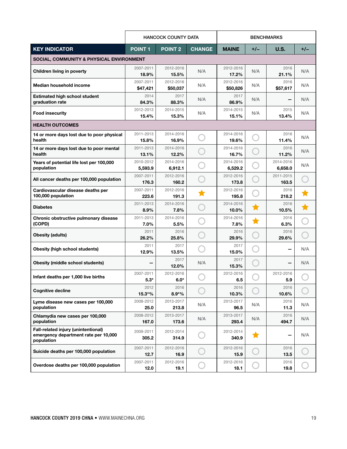|                                                                                           | <b>HANCOCK COUNTY DATA</b> |                       | <b>BENCHMARKS</b> |                       |       |                      |       |
|-------------------------------------------------------------------------------------------|----------------------------|-----------------------|-------------------|-----------------------|-------|----------------------|-------|
| <b>KEY INDICATOR</b>                                                                      | <b>POINT 1</b>             | <b>POINT 2</b>        | <b>CHANGE</b>     | <b>MAINE</b>          | $+/-$ | <b>U.S.</b>          | $+/-$ |
| SOCIAL, COMMUNITY & PHYSICAL ENVIRONMENT                                                  |                            |                       |                   |                       |       |                      |       |
| Children living in poverty                                                                | 2007-2011<br>18.9%         | 2012-2016<br>15.5%    | N/A               | 2012-2016<br>17.2%    | N/A   | 2016<br>21.1%        | N/A   |
| Median household income                                                                   | 2007-2011<br>\$47,421      | 2012-2016<br>\$50,037 | N/A               | 2012-2016<br>\$50,826 | N/A   | 2016<br>\$57,617     | N/A   |
| <b>Estimated high school student</b><br>graduation rate                                   | 2014<br>84.3%              | 2017<br>88.3%         | N/A               | 2017<br>86.9%         | N/A   |                      | N/A   |
| <b>Food insecurity</b>                                                                    | 2012-2013<br>15.4%         | 2014-2015<br>15.3%    | N/A               | 2014-2015<br>15.1%    | N/A   | 2015<br>13.4%        | N/A   |
| <b>HEALTH OUTCOMES</b>                                                                    |                            |                       |                   |                       |       |                      |       |
| 14 or more days lost due to poor physical<br>health                                       | 2011-2013<br>15.8%         | 2014-2016<br>16.9%    |                   | 2014-2016<br>19.6%    |       | 2016<br>11.4%        | N/A   |
| 14 or more days lost due to poor mental<br>health                                         | 2011-2013<br>13.1%         | 2014-2016<br>12.2%    |                   | 2014-2016<br>16.7%    |       | 2016<br>11.2%        | N/A   |
| Years of potential life lost per 100,000<br>population                                    | 2010-2012<br>5,593.9       | 2014-2016<br>6,912.1  |                   | 2014-2016<br>6,529.2  |       | 2014-2016<br>6,658.0 | N/A   |
| All cancer deaths per 100,000 population                                                  | 2007-2011<br>176.3         | 2012-2016<br>160.2    |                   | 2012-2016<br>173.8    |       | 2011-2015<br>163.5   |       |
| Cardiovascular disease deaths per<br>100,000 population                                   | 2007-2011<br>223.6         | 2012-2016<br>191.3    |                   | 2012-2016<br>195.8    |       | 2016<br>218.2        |       |
| <b>Diabetes</b>                                                                           | 2011-2013<br>8.9%          | 2014-2016<br>7.8%     |                   | 2014-2016<br>10.0%    | W     | 2016<br>10.5%        |       |
| Chronic obstructive pulmonary disease<br>(COPD)                                           | 2011-2013<br>7.0%          | 2014-2016<br>5.5%     |                   | 2014-2016<br>7.8%     | Ъf    | 2016<br>6.3%         |       |
| <b>Obesity (adults)</b>                                                                   | 2011<br>26.2%              | 2016<br>25.8%         |                   | 2016<br>29.9%         |       | 2016<br>29.6%        |       |
| <b>Obesity (high school students)</b>                                                     | 2011<br>12.9%              | 2017<br>13.5%         |                   | 2017<br>15.0%         |       |                      | N/A   |
| <b>Obesity (middle school students)</b>                                                   |                            | 2017<br>12.0%         | N/A               | 2017<br>15.3%         |       |                      | N/A   |
| Infant deaths per 1,000 live births                                                       | 2007-2011<br>$5.3*$        | 2012-2016<br>$6.0*$   |                   | 2012-2016<br>6.5      |       | 2012-2016<br>5.9     |       |
| <b>Cognitive decline</b>                                                                  | 2012<br>15.3*%             | 2016<br>$8.9*%$       |                   | 2016<br>10.3%         |       | 2016<br>10.6%        |       |
| Lyme disease new cases per 100,000<br>population                                          | 2008-2012<br>25.0          | 2013-2017<br>213.8    | N/A               | 2013-2017<br>96.5     | N/A   | 2016<br>11.3         | N/A   |
| Chlamydia new cases per 100,000<br>population                                             | 2008-2012<br>167.0         | 2013-2017<br>173.6    | N/A               | 2013-2017<br>293.4    | N/A   | 2016<br>494.7        | N/A   |
| Fall-related injury (unintentional)<br>emergency department rate per 10,000<br>population | 2009-2011<br>305.2         | 2012-2014<br>314.9    |                   | 2012-2014<br>340.9    |       |                      | N/A   |
| Suicide deaths per 100,000 population                                                     | 2007-2011<br>12.7          | 2012-2016<br>16.9     |                   | 2012-2016<br>15.9     |       | 2016<br>13.5         |       |
| Overdose deaths per 100,000 population                                                    | 2007-2011<br>12.0          | 2012-2016<br>19.1     |                   | 2012-2016<br>18.1     |       | 2016<br>19.8         |       |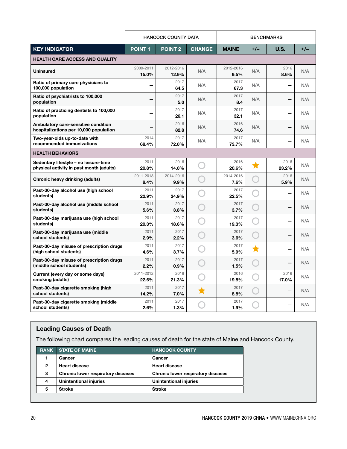|                                                                                   | <b>HANCOCK COUNTY DATA</b> |                    | <b>BENCHMARKS</b> |                   |              |               |       |
|-----------------------------------------------------------------------------------|----------------------------|--------------------|-------------------|-------------------|--------------|---------------|-------|
| <b>KEY INDICATOR</b>                                                              | <b>POINT 1</b>             | <b>POINT 2</b>     | <b>CHANGE</b>     | <b>MAINE</b>      | $+/-$        | <b>U.S.</b>   | $+/-$ |
| HEALTH CARE ACCESS AND QUALITY                                                    |                            |                    |                   |                   |              |               |       |
| <b>Uninsured</b>                                                                  | 2009-2011<br>15.0%         | 2012-2016<br>12.9% | N/A               | 2012-2016<br>9.5% | N/A          | 2016<br>8.6%  | N/A   |
| Ratio of primary care physicians to<br>100,000 population                         |                            | 2017<br>64.5       | N/A               | 2017<br>67.3      | N/A          |               | N/A   |
| Ratio of psychiatrists to 100,000<br>population                                   |                            | 2017<br>5.0        | N/A               | 2017<br>8.4       | N/A          |               | N/A   |
| Ratio of practicing dentists to 100,000<br>population                             |                            | 2017<br>26.1       | N/A               | 2017<br>32.1      | N/A          |               | N/A   |
| Ambulatory care-sensitive condition<br>hospitalizations per 10,000 population     |                            | 2016<br>82.8       | N/A               | 2016<br>74.6      | N/A          |               | N/A   |
| Two-year-olds up-to-date with<br>recommended immunizations                        | 2014<br>68.4%              | 2017<br>72.0%      | N/A               | 2017<br>73.7%     | N/A          |               | N/A   |
| <b>HEALTH BEHAVIORS</b>                                                           |                            |                    |                   |                   |              |               |       |
| Sedentary lifestyle - no leisure-time<br>physical activity in past month (adults) | 2011<br>20.8%              | 2016<br>14.0%      |                   | 2016<br>20.6%     | T            | 2016<br>23.2% | N/A   |
| Chronic heavy drinking (adults)                                                   | 2011-2013<br>8.4%          | 2014-2016<br>9.9%  |                   | 2014-2016<br>7.6% |              | 2016<br>5.9%  | N/A   |
| Past-30-day alcohol use (high school<br>students)                                 | 2011<br>22.9%              | 2017<br>24.9%      |                   | 2017<br>22.5%     |              |               | N/A   |
| Past-30-day alcohol use (middle school<br>students)                               | 2011<br>5.6%               | 2017<br>3.8%       |                   | 2017<br>3.7%      |              |               | N/A   |
| Past-30-day marijuana use (high school<br>students)                               | 2011<br>20.3%              | 2017<br>18.6%      |                   | 2017<br>19.3%     |              |               | N/A   |
| Past-30-day marijuana use (middle<br>school students)                             | 2011<br>2.9%               | 2017<br>2.2%       |                   | 2017<br>3.6%      |              |               | N/A   |
| Past-30-day misuse of prescription drugs<br>(high school students)                | 2011<br>4.6%               | 2017<br>3.7%       |                   | 2017<br>5.9%      | $\mathbf{L}$ |               | N/A   |
| Past-30-day misuse of prescription drugs<br>(middle school students)              | 2011<br>2.2%               | 2017<br>0.9%       |                   | 2017<br>1.5%      |              |               | N/A   |
| Current (every day or some days)<br>smoking (adults)                              | 2011-2012<br>22.6%         | 2016<br>21.3%      |                   | 2016<br>19.8%     |              | 2016<br>17.0% | N/A   |
| Past-30-day cigarette smoking (high<br>school students)                           | 2011<br>14.2%              | 2017<br>7.0%       |                   | 2017<br>8.8%      |              |               | N/A   |
| Past-30-day cigarette smoking (middle<br>school students)                         | 2011<br>2.6%               | 2017<br>1.3%       |                   | 2017<br>1.9%      |              |               | N/A   |

### Leading Causes of Death

The following chart compares the leading causes of death for the state of Maine and Hancock County.

| <b>RANK</b> | <b>STATE OF MAINE</b>              | <u>HANCOCK COUNTY</u>              |
|-------------|------------------------------------|------------------------------------|
|             | Cancer                             | Cancer                             |
| 2           | <b>Heart disease</b>               | <b>Heart disease</b>               |
| 3           | Chronic lower respiratory diseases | Chronic lower respiratory diseases |
| 4           | <b>Unintentional injuries</b>      | <b>Unintentional injuries</b>      |
| 5           | <b>Stroke</b>                      | <b>Stroke</b>                      |
|             |                                    |                                    |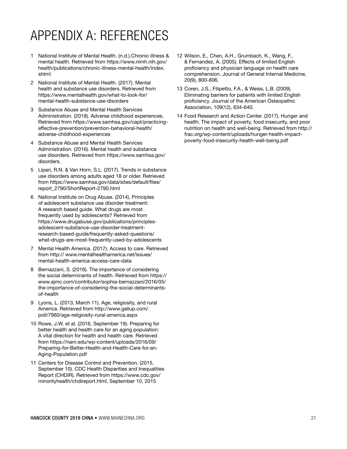# APPENDIX A: REFERENCES

- 1 National Institute of Mental Health. (n.d.).Chronic illness & mental health. Retrieved from https://www.nimh.nih.gov/ health/publications/chronic-illness-mental-health/index. shtml
- 2 National Institute of Mental Health. (2017). Mental health and substance use disorders. Retrieved from https://www.mentalhealth.gov/what-to-look-for/ mental-health-substance-use-disorders
- 3 Substance Abuse and Mental Health Services Administration. (2018). Adverse childhood experiences. Retrieved from https://www.samhsa.gov/capt/practicingeffective-prevention/prevention-behavioral-health/ adverse-childhood-experiences
- 4 Substance Abuse and Mental Health Services Administration. (2016). Mental health and substance use disorders. Retrieved from https://www.samhsa.gov/ disorders.
- 5 Lipari, R.N. & Van Horn, S.L. (2017). Trends in substance use disorders among adults aged 18 or older. Retrieved from https://www.samhsa.gov/data/sites/default/files/ report\_2790/ShortReport-2790.html
- 6 National Institute on Drug Abuse. (2014). Principles of adolescent substance use disorder treatment: A research based guide. What drugs are most frequently used by adolescents? Retrieved from https://www.drugabuse.gov/publications/principlesadolescent-substance-use-disorder-treatmentresearch-based-guide/frequently-asked-questions/ what-drugs-are-most-frequently-used-by-adolescents
- 7 Mental Health America. (2017). Access to care. Retrieved from http:// www.mentalhealthamerica.net/issues/ mental-health-america-access-care-data
- 8 Bernazzani, S. (2016). The importance of considering the social determinants of health. Retrieved from https:// www.ajmc.com/contributor/sophia-bernazzani/2016/05/ the-importance-of-considering-the-social-determinantsof-health
- 9 Lyons, L. (2013, March 11). Age, religiosity, and rural America. Retrieved from http://www.gallup.com/ poll/7960/age-religiosity-rural-america.aspx
- 10 Rowe, J.W. et al. (2016, September 19). Preparing for better health and health care for an aging population: A vital direction for health and health care. Retrieved from https://nam.edu/wp-content/uploads/2016/09/ Preparing-for-Better-Health-and-Health-Care-for-an-Aging-Population.pdf
- 11 Centers for Disease Control and Prevention. (2015, September 10). CDC Health Disparities and Inequalities Report (CHDIR). Retrieved from https://www.cdc.gov/ minorityhealth/chdireport.html, September 10, 2015
- 12 Wilson, E., Chen, A.H., Grumbach, K., Wang, F., & Fernandez, A. (2005). Effects of limited English proficiency and physician language on health care comprehension. Journal of General Internal Medicine, 20(9), 800-806.
- 13 Coren, J.S., Filipetto, F.A., & Weiss, L.B. (2009). Eliminating barriers for patients with limited English proficiency. Journal of the American Osteopathic Association, 109(12), 634-640.
- 14 Food Research and Action Center. (2017). Hunger and health: The impact of poverty, food insecurity, and poor nutrition on health and well-being. Retrieved from http:// frac.org/wp-content/uploads/hunger-health-impactpoverty-food-insecurity-health-well-being.pdf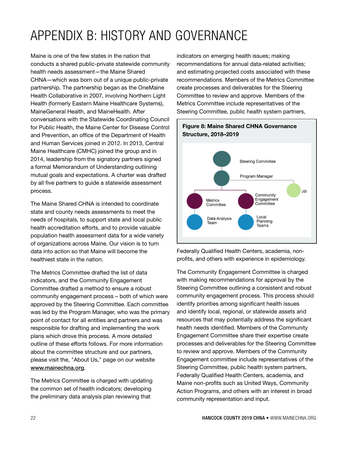# APPENDIX B: HISTORY AND GOVERNANCE

Maine is one of the few states in the nation that conducts a shared public-private statewide community health needs assessment—the Maine Shared CHNA—which was born out of a unique public-private partnership. The partnership began as the OneMaine Health Collaborative in 2007, involving Northern Light Health (formerly Eastern Maine Healthcare Systems), MaineGeneral Health, and MaineHealth. After conversations with the Statewide Coordinating Council for Public Health, the Maine Center for Disease Control and Prevention, an office of the Department of Health and Human Services joined in 2012. In 2013, Central Maine Healthcare (CMHC) joined the group and in 2014, leadership from the signatory partners signed a formal Memorandum of Understanding outlining mutual goals and expectations. A charter was drafted by all five partners to guide a statewide assessment process.

The Maine Shared CHNA is intended to coordinate state and county needs assessments to meet the needs of hospitals, to support state and local public health accreditation efforts, and to provide valuable population health assessment data for a wide variety of organizations across Maine. Our vision is to turn data into action so that Maine will become the healthiest state in the nation.

The Metrics Committee drafted the list of data indicators, and the Community Engagement Committee drafted a method to ensure a robust community engagement process – both of which were approved by the Steering Committee. Each committee was led by the Program Manager, who was the primary point of contact for all entities and partners and was responsible for drafting and implementing the work plans which drove this process. A more detailed outline of these efforts follows. For more information about the committee structure and our partners, please visit the, "About Us," page on our website www.mainechna.org.

The Metrics Committee is charged with updating the common set of health indicators; developing the preliminary data analysis plan reviewing that

indicators on emerging health issues; making recommendations for annual data-related activities; and estimating projected costs associated with these recommendations. Members of the Metrics Committee create processes and deliverables for the Steering Committee to review and approve. Members of the Metrics Committee include representatives of the Steering Committee, public health system partners,



Federally Qualified Health Centers, academia, nonprofits, and others with experience in epidemiology.

The Community Engagement Committee is charged with making recommendations for approval by the Steering Committee outlining a consistent and robust community engagement process. This process should identify priorities among significant health issues and identify local, regional, or statewide assets and resources that may potentially address the significant health needs identified. Members of the Community Engagement Committee share their expertise create processes and deliverables for the Steering Committee to review and approve. Members of the Community Engagement committee include representatives of the Steering Committee, public health system partners, Federally Qualified Health Centers, academia, and Maine non-profits such as United Ways, Community Action Programs, and others with an interest in broad community representation and input.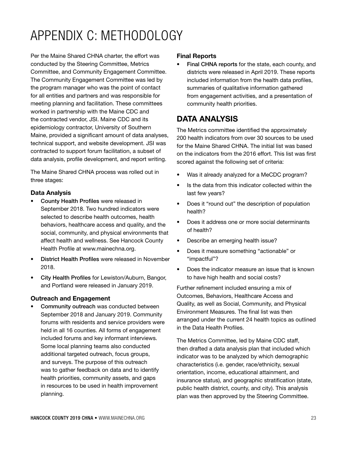# APPENDIX C: METHODOLOGY

Per the Maine Shared CHNA charter, the effort was conducted by the Steering Committee, Metrics Committee, and Community Engagement Committee. The Community Engagement Committee was led by the program manager who was the point of contact for all entities and partners and was responsible for meeting planning and facilitation. These committees worked in partnership with the Maine CDC and the contracted vendor, JSI. Maine CDC and its epidemiology contractor, University of Southern Maine, provided a significant amount of data analyses, technical support, and website development. JSI was contracted to support forum facilitation, a subset of data analysis, profile development, and report writing.

The Maine Shared CHNA process was rolled out in three stages:

### Data Analysis

- County Health Profiles were released in September 2018. Two hundred indicators were selected to describe health outcomes, health behaviors, healthcare access and quality, and the social, community, and physical environments that affect health and wellness. See Hancock County Health Profile at www.mainechna.org.
- District Health Profiles were released in November 2018.
- City Health Profiles for Lewiston/Auburn, Bangor, and Portland were released in January 2019.

### Outreach and Engagement

Community outreach was conducted between September 2018 and January 2019. Community forums with residents and service providers were held in all 16 counties. All forms of engagement included forums and key informant interviews. Some local planning teams also conducted additional targeted outreach, focus groups, and surveys. The purpose of this outreach was to gather feedback on data and to identify health priorities, community assets, and gaps in resources to be used in health improvement planning.

### Final Reports

• Final CHNA reports for the state, each county, and districts were released in April 2019. These reports included information from the health data profiles, summaries of qualitative information gathered from engagement activities, and a presentation of community health priorities.

### DATA ANALYSIS

The Metrics committee identified the approximately 200 health indicators from over 30 sources to be used for the Maine Shared CHNA. The initial list was based on the indicators from the 2016 effort. This list was first scored against the following set of criteria:

- Was it already analyzed for a MeCDC program?
- Is the data from this indicator collected within the last few years?
- Does it "round out" the description of population health?
- Does it address one or more social determinants of health?
- Describe an emerging health issue?
- Does it measure something "actionable" or "impactful"?
- Does the indicator measure an issue that is known to have high health and social costs?

Further refinement included ensuring a mix of Outcomes, Behaviors, Healthcare Access and Quality, as well as Social, Community, and Physical Environment Measures. The final list was then arranged under the current 24 health topics as outlined in the Data Health Profiles.

The Metrics Committee, led by Maine CDC staff, then drafted a data analysis plan that included which indicator was to be analyzed by which demographic characteristics (i.e. gender, race/ethnicity, sexual orientation, income, educational attainment, and insurance status), and geographic stratification (state, public health district, county, and city). This analysis plan was then approved by the Steering Committee.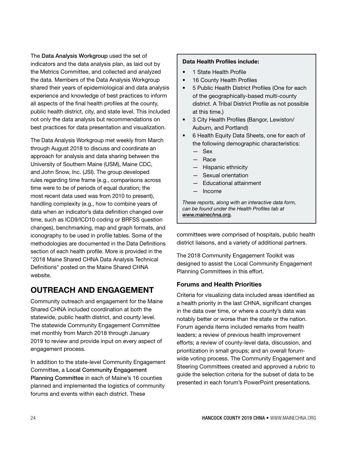The Data Analysis Workgroup used the set of indicators and the data analysis plan, as laid out by the Metrics Committee, and collected and analyzed the data. Members of the Data Analysis Workgroup shared their years of epidemiological and data analysis experience and knowledge of best practices to inform all aspects of the final health profiles at the county, public health district, city, and state level. This included not only the data analysis but recommendations on best practices for data presentation and visualization.

The Data Analysis Workgroup met weekly from March through August 2018 to discuss and coordinate an approach for analysis and data sharing between the University of Southern Maine (USM), Maine CDC, and John Snow, Inc. (JSI). The group developed rules regarding time frame (e.g., comparisons across time were to be of periods of equal duration; the most recent data used was from 2010 to present), handling complexity (e.g., how to combine years of data when an indicator's data definition changed over time, such as ICD9/ICD10 coding or BRFSS question changes), benchmarking, map and graph formats, and iconography to be used in profile tables. Some of the methodologies are documented in the Data Definitions section of each health profile. More is provided in the "2018 Maine Shared CHNA Data Analysis Technical Definitions" posted on the Maine Shared CHNA website.

### OUTREACH AND ENGAGEMENT

Community outreach and engagement for the Maine Shared CHNA included coordination at both the statewide, public health district, and county level. The statewide Community Engagement Committee met monthly from March 2018 through January 2019 to review and provide input on every aspect of engagement process.

In addition to the state-level Community Engagement Committee, a Local Community Engagement Planning Committee in each of Maine's 16 counties planned and implemented the logistics of community forums and events within each district. These

#### Data Health Profiles include:

- 1 State Health Profile
- 16 County Health Profiles
- 5 Public Health District Profiles (One for each of the geographically-based multi-county district. A Tribal District Profile as not possible at this time.)
- 3 City Health Profiles (Bangor, Lewiston/ Auburn, and Portland)
- 6 Health Equity Data Sheets, one for each of the following demographic characteristics:
	- Sex
	- Race
	- Hispanic ethnicity
	- Sexual orientation
	- Educational attainment
	- Income

*These reports, along with an interactive data form, can be found under the Health Profiles tab at www.mainechna.org.* 

committees were comprised of hospitals, public health district liaisons, and a variety of additional partners.

The 2018 Community Engagement Toolkit was designed to assist the Local Community Engagement Planning Committees in this effort.

#### Forums and Health Priorities

Criteria for visualizing data included areas identified as a health priority in the last CHNA, significant changes in the data over time, or where a county's data was notably better or worse than the state or the nation. Forum agenda items included remarks from health leaders; a review of previous health improvement efforts; a review of county-level data, discussion, and prioritization in small groups; and an overall forumwide voting process. The Community Engagement and Steering Committees created and approved a rubric to guide the selection criteria for the subset of data to be presented in each forum's PowerPoint presentations.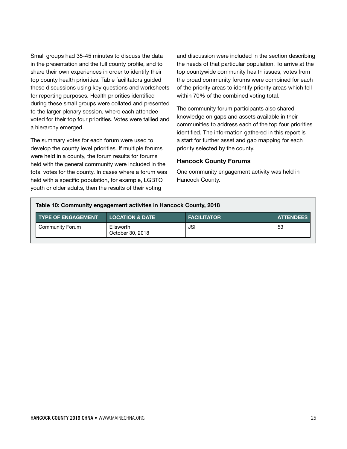Small groups had 35-45 minutes to discuss the data in the presentation and the full county profile, and to share their own experiences in order to identify their top county health priorities. Table facilitators guided these discussions using key questions and worksheets for reporting purposes. Health priorities identified during these small groups were collated and presented to the larger plenary session, where each attendee voted for their top four priorities. Votes were tallied and a hierarchy emerged.

The summary votes for each forum were used to develop the county level priorities. If multiple forums were held in a county, the forum results for forums held with the general community were included in the total votes for the county. In cases where a forum was held with a specific population, for example, LGBTQ youth or older adults, then the results of their voting

and discussion were included in the section describing the needs of that particular population. To arrive at the top countywide community health issues, votes from the broad community forums were combined for each of the priority areas to identify priority areas which fell within 70% of the combined voting total.

The community forum participants also shared knowledge on gaps and assets available in their communities to address each of the top four priorities identified. The information gathered in this report is a start for further asset and gap mapping for each priority selected by the county.

#### Hancock County Forums

One community engagement activity was held in Hancock County.

| Table 10: Community engagement activites in Hancock County, 2018 |                               |                    |                  |
|------------------------------------------------------------------|-------------------------------|--------------------|------------------|
| <b>TYPE OF ENGAGEMENT</b>                                        | <b>LOCATION &amp; DATE</b>    | <b>FACILITATOR</b> | <b>ATTENDEES</b> |
| Community Forum                                                  | Ellsworth<br>October 30, 2018 | JSI                | 53               |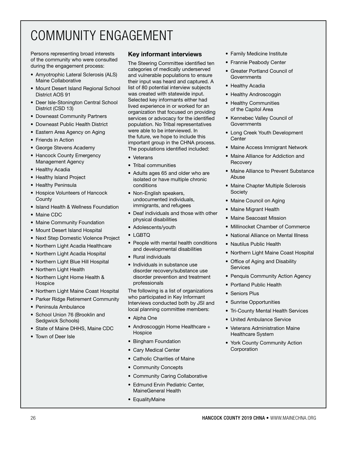# COMMUNITY ENGAGEMENT

Persons representing broad interests of the community who were consulted during the engagement process:

- Amyotrophic Lateral Sclerosis (ALS) Maine Collaborative
- Mount Desert Island Regional School District AOS 91
- Deer Isle-Stonington Central School District (CSD 13)
- Downeast Community Partners
- Downeast Public Health District
- Eastern Area Agency on Aging
- Friends in Action
- George Stevens Academy
- Hancock County Emergency Management Agency
- Healthy Acadia
- Healthy Island Project
- Healthy Peninsula
- Hospice Volunteers of Hancock **County**
- Island Health & Wellness Foundation
- Maine CDC
- Maine Community Foundation
- Mount Desert Island Hospital
- Next Step Domestic Violence Project
- Northern Light Acadia Healthcare
- Northern Light Acadia Hospital
- Northern Light Blue Hill Hospital
- Northern Light Health
- Northern Light Home Health & Hospice
- Northern Light Maine Coast Hospital
- Parker Ridge Retirement Community
- Peninsula Ambulance
- School Union 76 (Brooklin and Sedgwick Schools)
- State of Maine DHHS, Maine CDC
- Town of Deer Isle

#### Key informant interviews

The Steering Committee identified ten categories of medically underserved and vulnerable populations to ensure their input was heard and captured. A list of 80 potential interview subjects was created with statewide input. Selected key informants either had lived experience in or worked for an organization that focused on providing services or advocacy for the identified population. No Tribal representatives were able to be interviewed. In the future, we hope to include this important group in the CHNA process. The populations identified included:

- Veterans
- Tribal communities
- Adults ages 65 and older who are isolated or have multiple chronic conditions
- Non-English speakers, undocumented individuals, immigrants, and refugees
- Deaf individuals and those with other physical disabilities
- Adolescents/youth
- LGBTQ
- People with mental health conditions and developmental disabilities
- Rural individuals
- Individuals in substance use disorder recovery/substance use disorder prevention and treatment professionals

The following is a list of organizations who participated in Key Informant Interviews conducted both by JSI and local planning committee members:

- Alpha One
- Androscoggin Home Healthcare + Hospice
- Bingham Foundation
- Cary Medical Center
- Catholic Charities of Maine
- Community Concepts
- Community Caring Collaborative
- Edmund Ervin Pediatric Center, MaineGeneral Health
- EqualityMaine
- Family Medicine Institute
- Frannie Peabody Center
- Greater Portland Council of Governments
- Healthy Acadia
- Healthy Androscoggin
- Healthy Communities of the Capitol Area
- Kennebec Valley Council of **Governments**
- Long Creek Youth Development **Center**
- Maine Access Immigrant Network
- Maine Alliance for Addiction and **Recovery**
- Maine Alliance to Prevent Substance Abuse
- Maine Chapter Multiple Sclerosis Society
- Maine Council on Aging
- Maine Migrant Health
- Maine Seacoast Mission
- Millinocket Chamber of Commerce
- National Alliance on Mental Illness
- Nautilus Public Health
- Northern Light Maine Coast Hospital
- Office of Aging and Disability **Services**
- Penquis Community Action Agency
- Portland Public Health
- Seniors Plus
- Sunrise Opportunities
- Tri-County Mental Health Services
- United Ambulance Service
- Veterans Administration Maine Healthcare System
- York County Community Action Corporation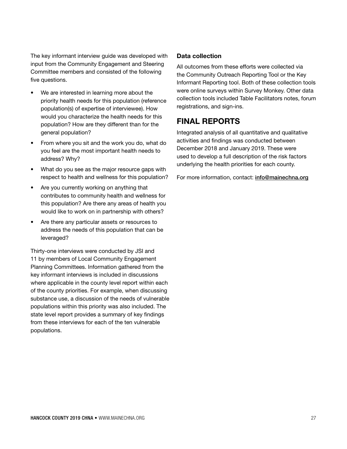The key informant interview guide was developed with input from the Community Engagement and Steering Committee members and consisted of the following five questions.

- We are interested in learning more about the priority health needs for this population (reference population(s) of expertise of interviewee). How would you characterize the health needs for this population? How are they different than for the general population?
- From where you sit and the work you do, what do you feel are the most important health needs to address? Why?
- What do you see as the major resource gaps with respect to health and wellness for this population?
- Are you currently working on anything that contributes to community health and wellness for this population? Are there any areas of health you would like to work on in partnership with others?
- Are there any particular assets or resources to address the needs of this population that can be leveraged?

Thirty-one interviews were conducted by JSI and 11 by members of Local Community Engagement Planning Committees. Information gathered from the key informant interviews is included in discussions where applicable in the county level report within each of the county priorities. For example, when discussing substance use, a discussion of the needs of vulnerable populations within this priority was also included. The state level report provides a summary of key findings from these interviews for each of the ten vulnerable populations.

#### Data collection

All outcomes from these efforts were collected via the Community Outreach Reporting Tool or the Key Informant Reporting tool. Both of these collection tools were online surveys within Survey Monkey. Other data collection tools included Table Facilitators notes, forum registrations, and sign-ins.

### FINAL REPORTS

Integrated analysis of all quantitative and qualitative activities and findings was conducted between December 2018 and January 2019. These were used to develop a full description of the risk factors underlying the health priorities for each county.

For more information, contact: info@mainechna.org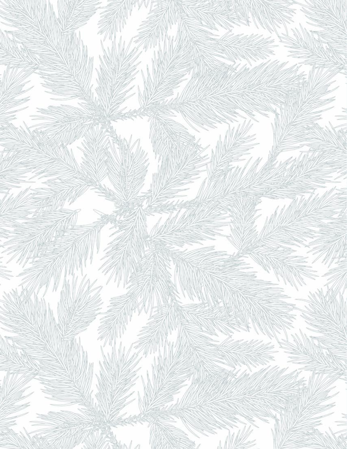